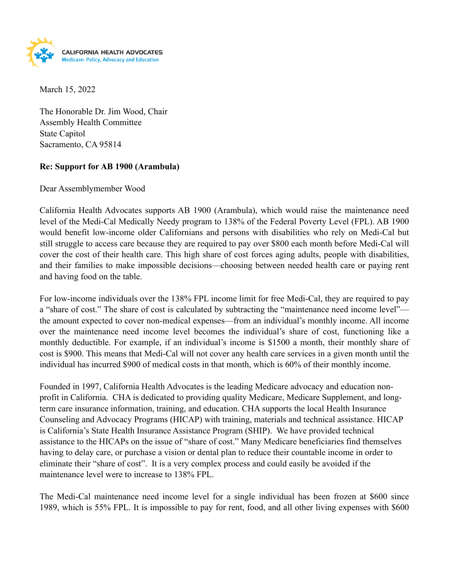

March 15, 2022

The Honorable Dr. Jim Wood, Chair Assembly Health Committee State Capitol Sacramento, CA 95814

## **Re: Support for AB 1900 (Arambula)**

Dear Assemblymember Wood

California Health Advocates supports AB 1900 (Arambula), which would raise the maintenance need level of the Medi-Cal Medically Needy program to 138% of the Federal Poverty Level (FPL). AB 1900 would benefit low-income older Californians and persons with disabilities who rely on Medi-Cal but still struggle to access care because they are required to pay over \$800 each month before Medi-Cal will cover the cost of their health care. This high share of cost forces aging adults, people with disabilities, and their families to make impossible decisions—choosing between needed health care or paying rent and having food on the table.

For low-income individuals over the 138% FPL income limit for free Medi-Cal, they are required to pay a "share of cost." The share of cost is calculated by subtracting the "maintenance need income level" the amount expected to cover non-medical expenses—from an individual's monthly income. All income over the maintenance need income level becomes the individual's share of cost, functioning like a monthly deductible. For example, if an individual's income is \$1500 a month, their monthly share of cost is \$900. This means that Medi-Cal will not cover any health care services in a given month until the individual has incurred \$900 of medical costs in that month, which is 60% of their monthly income.

Founded in 1997, California Health Advocates is the leading Medicare advocacy and education nonprofit in California. CHA is dedicated to providing quality Medicare, Medicare Supplement, and longterm care insurance information, training, and education. CHA supports the local Health Insurance Counseling and Advocacy Programs (HICAP) with training, materials and technical assistance. HICAP is California's State Health Insurance Assistance Program (SHIP). We have provided technical assistance to the HICAPs on the issue of "share of cost." Many Medicare beneficiaries find themselves having to delay care, or purchase a vision or dental plan to reduce their countable income in order to eliminate their "share of cost". It is a very complex process and could easily be avoided if the maintenance level were to increase to 138% FPL.

The Medi-Cal maintenance need income level for a single individual has been frozen at \$600 since 1989, which is 55% FPL. It is impossible to pay for rent, food, and all other living expenses with \$600